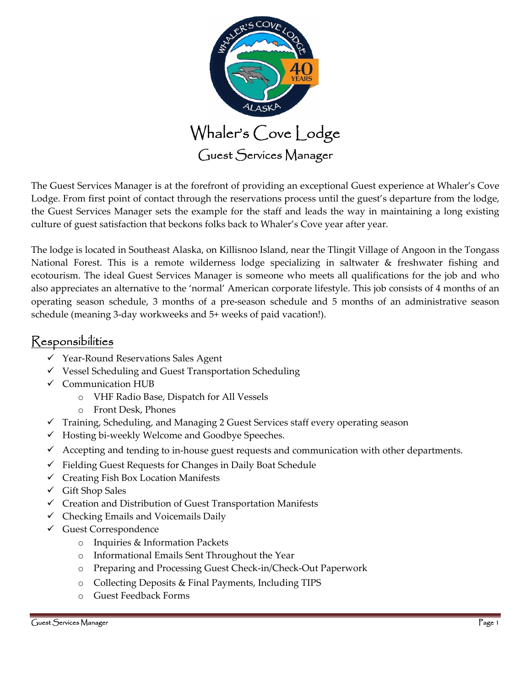

The Guest Services Manager is at the forefront of providing an exceptional Guest experience at Whaler's Cove Lodge. From first point of contact through the reservations process until the guest's departure from the lodge, the Guest Services Manager sets the example for the staff and leads the way in maintaining a long existing culture of guest satisfaction that beckons folks back to Whaler's Cove year after year.

The lodge is located in Southeast Alaska, on Killisnoo Island, near the Tlingit Village of Angoon in the Tongass National Forest. This is a remote wilderness lodge specializing in saltwater & freshwater fishing and ecotourism. The ideal Guest Services Manager is someone who meets all qualifications for the job and who also appreciates an alternative to the 'normal' American corporate lifestyle. This job consists of 4 months of an operating season schedule, 3 months of a pre‐season schedule and 5 months of an administrative season schedule (meaning 3‐day workweeks and 5+ weeks of paid vacation!).

## Responsibilities

- Year‐Round Reservations Sales Agent
- $\checkmark$  Vessel Scheduling and Guest Transportation Scheduling
- $\checkmark$  Communication HUB
	- o VHF Radio Base, Dispatch for All Vessels
	- o Front Desk, Phones
- $\checkmark$  Training, Scheduling, and Managing 2 Guest Services staff every operating season
- Hosting bi‐weekly Welcome and Goodbye Speeches.
- $\checkmark$  Accepting and tending to in-house guest requests and communication with other departments.
- $\checkmark$  Fielding Guest Requests for Changes in Daily Boat Schedule
- $\checkmark$  Creating Fish Box Location Manifests
- $\checkmark$  Gift Shop Sales
- Creation and Distribution of Guest Transportation Manifests
- $\checkmark$  Checking Emails and Voicemails Daily
- Guest Correspondence
	- o Inquiries & Information Packets
	- o Informational Emails Sent Throughout the Year
	- o Preparing and Processing Guest Check‐in/Check‐Out Paperwork
	- o Collecting Deposits & Final Payments, Including TIPS
	- o Guest Feedback Forms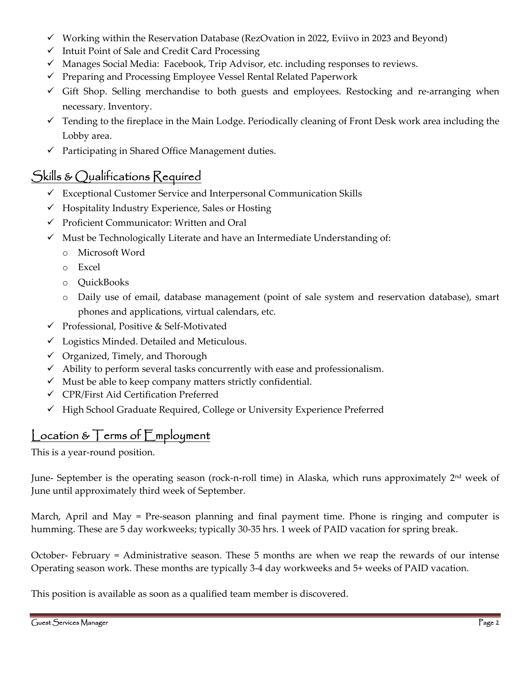- $\checkmark$  Working within the Reservation Database (RezOvation in 2022, Eviivo in 2023 and Beyond)
- $\checkmark$  Intuit Point of Sale and Credit Card Processing
- $\checkmark$  Manages Social Media: Facebook, Trip Advisor, etc. including responses to reviews.
- $\checkmark$  Preparing and Processing Employee Vessel Rental Related Paperwork
- Gift Shop. Selling merchandise to both guests and employees. Restocking and re‐arranging when necessary. Inventory.
- $\checkmark$  Tending to the fireplace in the Main Lodge. Periodically cleaning of Front Desk work area including the Lobby area.
- $\checkmark$  Participating in Shared Office Management duties.

# Skills & Qualifications Required

- Exceptional Customer Service and Interpersonal Communication Skills
- $\checkmark$  Hospitality Industry Experience, Sales or Hosting
- $\checkmark$  Proficient Communicator: Written and Oral
- $\checkmark$  Must be Technologically Literate and have an Intermediate Understanding of:
	- o Microsoft Word
	- o Excel
	- o QuickBooks
	- o Daily use of email, database management (point of sale system and reservation database), smart phones and applications, virtual calendars, etc.
- Professional, Positive & Self‐Motivated
- $\checkmark$  Logistics Minded. Detailed and Meticulous.
- $\checkmark$  Organized, Timely, and Thorough
- $\checkmark$  Ability to perform several tasks concurrently with ease and professionalism.
- $\checkmark$  Must be able to keep company matters strictly confidential.
- CPR/First Aid Certification Preferred
- High School Graduate Required, College or University Experience Preferred

### Location & Terms of Employment

This is a year‐round position.

June- September is the operating season (rock-n-roll time) in Alaska, which runs approximately 2<sup>nd</sup> week of June until approximately third week of September.

March, April and May = Pre-season planning and final payment time. Phone is ringing and computer is humming. These are 5 day workweeks; typically 30‐35 hrs. 1 week of PAID vacation for spring break.

October‐ February = Administrative season. These 5 months are when we reap the rewards of our intense Operating season work. These months are typically 3‐4 day workweeks and 5+ weeks of PAID vacation.

This position is available as soon as a qualified team member is discovered.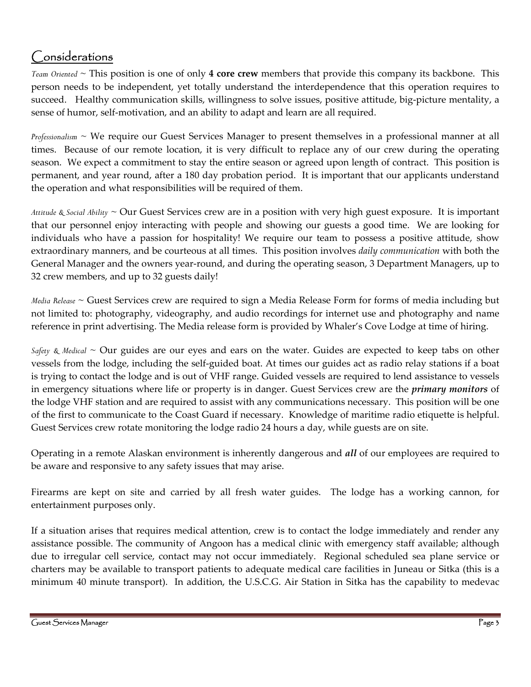## Considerations

*Team Oriented* ~ This position is one of only **4 core crew** members that provide this company its backbone. This person needs to be independent, yet totally understand the interdependence that this operation requires to succeed. Healthy communication skills, willingness to solve issues, positive attitude, big-picture mentality, a sense of humor, self‐motivation, and an ability to adapt and learn are all required.

*Professionalism* ~ We require our Guest Services Manager to present themselves in a professional manner at all times. Because of our remote location, it is very difficult to replace any of our crew during the operating season. We expect a commitment to stay the entire season or agreed upon length of contract. This position is permanent, and year round, after a 180 day probation period. It is important that our applicants understand the operation and what responsibilities will be required of them.

*Attitude & Social Ability* ~ Our Guest Services crew are in a position with very high guest exposure. It is important that our personnel enjoy interacting with people and showing our guests a good time. We are looking for individuals who have a passion for hospitality! We require our team to possess a positive attitude, show extraordinary manners, and be courteous at all times. This position involves *daily communication* with both the General Manager and the owners year-round, and during the operating season, 3 Department Managers, up to 32 crew members, and up to 32 guests daily!

*Media Release ~* Guest Services crew are required to sign a Media Release Form for forms of media including but not limited to: photography, videography, and audio recordings for internet use and photography and name reference in print advertising. The Media release form is provided by Whaler's Cove Lodge at time of hiring.

*Safety & Medical* ~ Our guides are our eyes and ears on the water. Guides are expected to keep tabs on other vessels from the lodge, including the self‐guided boat. At times our guides act as radio relay stations if a boat is trying to contact the lodge and is out of VHF range. Guided vessels are required to lend assistance to vessels in emergency situations where life or property is in danger. Guest Services crew are the *primary monitors* of the lodge VHF station and are required to assist with any communications necessary. This position will be one of the first to communicate to the Coast Guard if necessary. Knowledge of maritime radio etiquette is helpful. Guest Services crew rotate monitoring the lodge radio 24 hours a day, while guests are on site.

Operating in a remote Alaskan environment is inherently dangerous and *all* of our employees are required to be aware and responsive to any safety issues that may arise.

Firearms are kept on site and carried by all fresh water guides. The lodge has a working cannon, for entertainment purposes only.

If a situation arises that requires medical attention, crew is to contact the lodge immediately and render any assistance possible. The community of Angoon has a medical clinic with emergency staff available; although due to irregular cell service, contact may not occur immediately. Regional scheduled sea plane service or charters may be available to transport patients to adequate medical care facilities in Juneau or Sitka (this is a minimum 40 minute transport). In addition, the U.S.C.G. Air Station in Sitka has the capability to medevac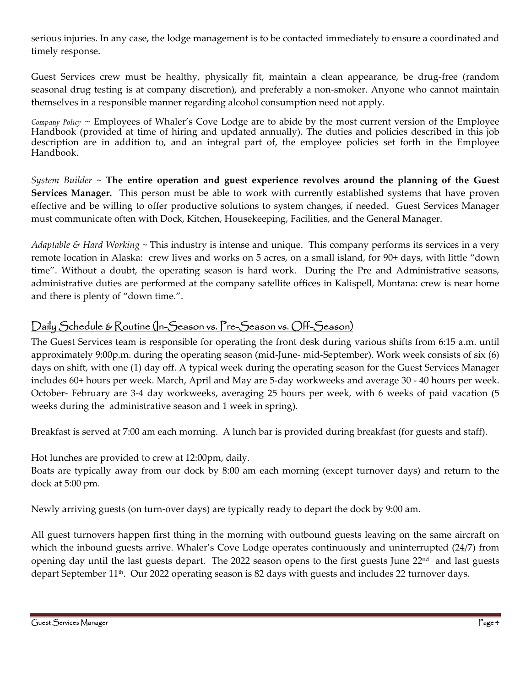serious injuries. In any case, the lodge management is to be contacted immediately to ensure a coordinated and timely response.

Guest Services crew must be healthy, physically fit, maintain a clean appearance, be drug‐free (random seasonal drug testing is at company discretion), and preferably a non-smoker. Anyone who cannot maintain themselves in a responsible manner regarding alcohol consumption need not apply.

*Company Policy ~* Employees of Whaler's Cove Lodge are to abide by the most current version of the Employee Handbook (provided at time of hiring and updated annually). The duties and policies described in this job description are in addition to, and an integral part of, the employee policies set forth in the Employee Handbook.

*System Builder* ~ **The entire operation and guest experience revolves around the planning of the Guest Services Manager.** This person must be able to work with currently established systems that have proven effective and be willing to offer productive solutions to system changes, if needed. Guest Services Manager must communicate often with Dock, Kitchen, Housekeeping, Facilities, and the General Manager.

*Adaptable & Hard Working* ~ This industry is intense and unique. This company performs its services in a very remote location in Alaska: crew lives and works on 5 acres, on a small island, for 90+ days, with little "down time". Without a doubt, the operating season is hard work. During the Pre and Administrative seasons, administrative duties are performed at the company satellite offices in Kalispell, Montana: crew is near home and there is plenty of "down time.".

### Daily Schedule & Routine (In-Season vs. Pre-Season vs. Off-Season)

The Guest Services team is responsible for operating the front desk during various shifts from 6:15 a.m. until approximately 9:00p.m. during the operating season (mid‐June‐ mid‐September). Work week consists of six (6) days on shift, with one (1) day off. A typical week during the operating season for the Guest Services Manager includes 60+ hours per week. March, April and May are 5‐day workweeks and average 30 ‐ 40 hours per week. October‐ February are 3‐4 day workweeks, averaging 25 hours per week, with 6 weeks of paid vacation (5 weeks during the administrative season and 1 week in spring).

Breakfast is served at 7:00 am each morning. A lunch bar is provided during breakfast (for guests and staff).

Hot lunches are provided to crew at 12:00pm, daily.

Boats are typically away from our dock by 8:00 am each morning (except turnover days) and return to the dock at 5:00 pm.

Newly arriving guests (on turn‐over days) are typically ready to depart the dock by 9:00 am.

All guest turnovers happen first thing in the morning with outbound guests leaving on the same aircraft on which the inbound guests arrive. Whaler's Cove Lodge operates continuously and uninterrupted (24/7) from opening day until the last guests depart. The 2022 season opens to the first guests June  $22<sup>nd</sup>$  and last guests depart September  $11<sup>th</sup>$ . Our 2022 operating season is 82 days with guests and includes 22 turnover days.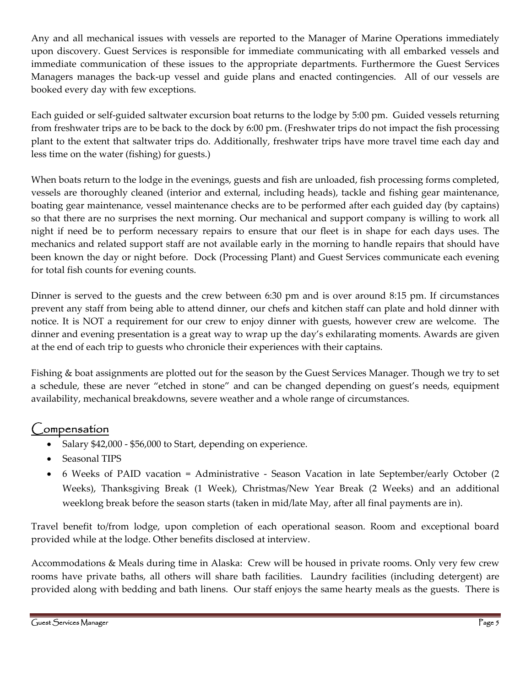Any and all mechanical issues with vessels are reported to the Manager of Marine Operations immediately upon discovery. Guest Services is responsible for immediate communicating with all embarked vessels and immediate communication of these issues to the appropriate departments. Furthermore the Guest Services Managers manages the back-up vessel and guide plans and enacted contingencies. All of our vessels are booked every day with few exceptions.

Each guided or self-guided saltwater excursion boat returns to the lodge by 5:00 pm. Guided vessels returning from freshwater trips are to be back to the dock by 6:00 pm. (Freshwater trips do not impact the fish processing plant to the extent that saltwater trips do. Additionally, freshwater trips have more travel time each day and less time on the water (fishing) for guests.)

When boats return to the lodge in the evenings, guests and fish are unloaded, fish processing forms completed, vessels are thoroughly cleaned (interior and external, including heads), tackle and fishing gear maintenance, boating gear maintenance, vessel maintenance checks are to be performed after each guided day (by captains) so that there are no surprises the next morning. Our mechanical and support company is willing to work all night if need be to perform necessary repairs to ensure that our fleet is in shape for each days uses. The mechanics and related support staff are not available early in the morning to handle repairs that should have been known the day or night before. Dock (Processing Plant) and Guest Services communicate each evening for total fish counts for evening counts.

Dinner is served to the guests and the crew between 6:30 pm and is over around 8:15 pm. If circumstances prevent any staff from being able to attend dinner, our chefs and kitchen staff can plate and hold dinner with notice. It is NOT a requirement for our crew to enjoy dinner with guests, however crew are welcome. The dinner and evening presentation is a great way to wrap up the day's exhilarating moments. Awards are given at the end of each trip to guests who chronicle their experiences with their captains.

Fishing & boat assignments are plotted out for the season by the Guest Services Manager. Though we try to set a schedule, these are never "etched in stone" and can be changed depending on guest's needs, equipment availability, mechanical breakdowns, severe weather and a whole range of circumstances.

### Compensation

- Salary \$42,000 ‐ \$56,000 to Start, depending on experience.
- Seasonal TIPS
- 6 Weeks of PAID vacation = Administrative Season Vacation in late September/early October (2) Weeks), Thanksgiving Break (1 Week), Christmas/New Year Break (2 Weeks) and an additional weeklong break before the season starts (taken in mid/late May, after all final payments are in).

Travel benefit to/from lodge, upon completion of each operational season. Room and exceptional board provided while at the lodge. Other benefits disclosed at interview.

Accommodations & Meals during time in Alaska: Crew will be housed in private rooms. Only very few crew rooms have private baths, all others will share bath facilities. Laundry facilities (including detergent) are provided along with bedding and bath linens. Our staff enjoys the same hearty meals as the guests. There is